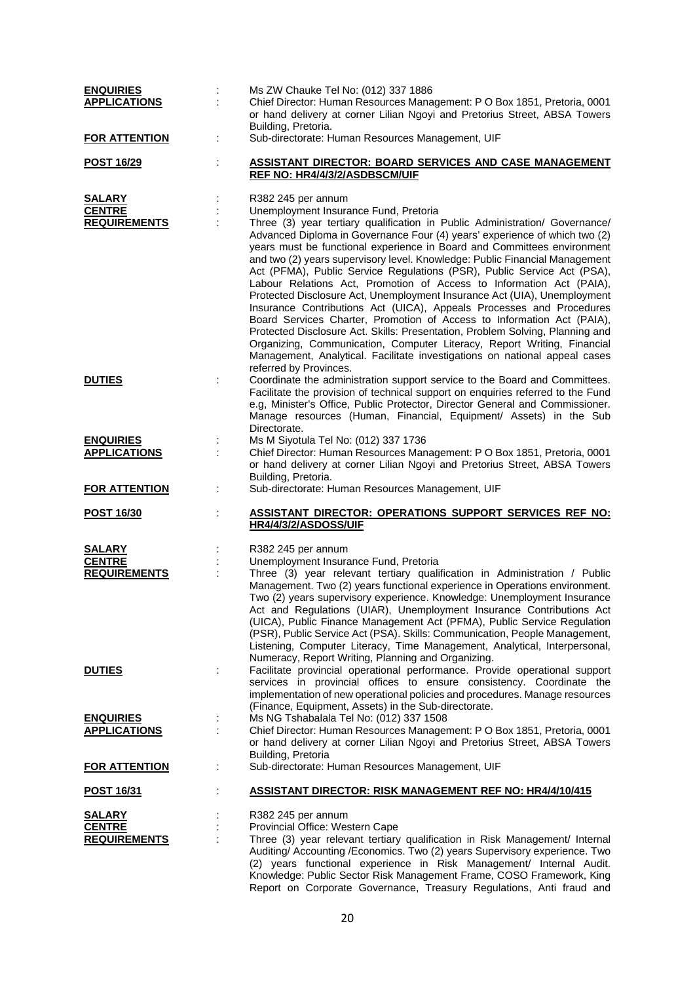| <b>ENQUIRIES</b><br><b>APPLICATIONS</b>               | Ms ZW Chauke Tel No: (012) 337 1886<br>Chief Director: Human Resources Management: P O Box 1851, Pretoria, 0001<br>or hand delivery at corner Lilian Ngoyi and Pretorius Street, ABSA Towers                                                                                                                                                                                                                                                                                                                                                                                                                                                                                                                                                                                                                                                                                                                                                                                            |
|-------------------------------------------------------|-----------------------------------------------------------------------------------------------------------------------------------------------------------------------------------------------------------------------------------------------------------------------------------------------------------------------------------------------------------------------------------------------------------------------------------------------------------------------------------------------------------------------------------------------------------------------------------------------------------------------------------------------------------------------------------------------------------------------------------------------------------------------------------------------------------------------------------------------------------------------------------------------------------------------------------------------------------------------------------------|
| <b>FOR ATTENTION</b>                                  | Building, Pretoria.<br>Sub-directorate: Human Resources Management, UIF<br>t                                                                                                                                                                                                                                                                                                                                                                                                                                                                                                                                                                                                                                                                                                                                                                                                                                                                                                            |
| <u>POST 16/29</u>                                     | <b>ASSISTANT DIRECTOR: BOARD SERVICES AND CASE MANAGEMENT</b><br>REF NO: HR4/4/3/2/ASDBSCM/UIF                                                                                                                                                                                                                                                                                                                                                                                                                                                                                                                                                                                                                                                                                                                                                                                                                                                                                          |
| <u>SALARY</u>                                         | R382 245 per annum                                                                                                                                                                                                                                                                                                                                                                                                                                                                                                                                                                                                                                                                                                                                                                                                                                                                                                                                                                      |
| <b>CENTRE</b><br><b>REQUIREMENTS</b>                  | Unemployment Insurance Fund, Pretoria<br>Three (3) year tertiary qualification in Public Administration/ Governance/<br>Advanced Diploma in Governance Four (4) years' experience of which two (2)<br>years must be functional experience in Board and Committees environment<br>and two (2) years supervisory level. Knowledge: Public Financial Management<br>Act (PFMA), Public Service Regulations (PSR), Public Service Act (PSA),<br>Labour Relations Act, Promotion of Access to Information Act (PAIA),<br>Protected Disclosure Act, Unemployment Insurance Act (UIA), Unemployment<br>Insurance Contributions Act (UICA), Appeals Processes and Procedures<br>Board Services Charter, Promotion of Access to Information Act (PAIA),<br>Protected Disclosure Act. Skills: Presentation, Problem Solving, Planning and<br>Organizing, Communication, Computer Literacy, Report Writing, Financial<br>Management, Analytical. Facilitate investigations on national appeal cases |
| <b>DUTIES</b>                                         | referred by Provinces.<br>Coordinate the administration support service to the Board and Committees.<br>Facilitate the provision of technical support on enquiries referred to the Fund<br>e.g, Minister's Office, Public Protector, Director General and Commissioner.<br>Manage resources (Human, Financial, Equipment/ Assets) in the Sub                                                                                                                                                                                                                                                                                                                                                                                                                                                                                                                                                                                                                                            |
| <b>ENQUIRIES</b>                                      | Directorate.<br>Ms M Siyotula Tel No: (012) 337 1736                                                                                                                                                                                                                                                                                                                                                                                                                                                                                                                                                                                                                                                                                                                                                                                                                                                                                                                                    |
| <b>APPLICATIONS</b>                                   | Chief Director: Human Resources Management: P O Box 1851, Pretoria, 0001<br>or hand delivery at corner Lilian Ngoyi and Pretorius Street, ABSA Towers<br>Building, Pretoria.                                                                                                                                                                                                                                                                                                                                                                                                                                                                                                                                                                                                                                                                                                                                                                                                            |
| <b>FOR ATTENTION</b>                                  | Sub-directorate: Human Resources Management, UIF                                                                                                                                                                                                                                                                                                                                                                                                                                                                                                                                                                                                                                                                                                                                                                                                                                                                                                                                        |
| <b>POST 16/30</b>                                     | <b>ASSISTANT DIRECTOR: OPERATIONS SUPPORT SERVICES REF NO:</b><br>HR4/4/3/2/ASDOSS/UIF                                                                                                                                                                                                                                                                                                                                                                                                                                                                                                                                                                                                                                                                                                                                                                                                                                                                                                  |
| <b>SALARY</b>                                         | R382 245 per annum                                                                                                                                                                                                                                                                                                                                                                                                                                                                                                                                                                                                                                                                                                                                                                                                                                                                                                                                                                      |
| <b>CENTRE</b><br><b>REQUIREMENTS</b>                  | Unemployment Insurance Fund, Pretoria<br>Three (3) year relevant tertiary qualification in Administration / Public<br>Management. Two (2) years functional experience in Operations environment.<br>Two (2) years supervisory experience. Knowledge: Unemployment Insurance<br>Act and Regulations (UIAR), Unemployment Insurance Contributions Act<br>(UICA), Public Finance Management Act (PFMA), Public Service Regulation<br>(PSR), Public Service Act (PSA). Skills: Communication, People Management,<br>Listening, Computer Literacy, Time Management, Analytical, Interpersonal,<br>Numeracy, Report Writing, Planning and Organizing.                                                                                                                                                                                                                                                                                                                                         |
| <b>DUTIES</b>                                         | Facilitate provincial operational performance. Provide operational support<br>services in provincial offices to ensure consistency. Coordinate the<br>implementation of new operational policies and procedures. Manage resources<br>(Finance, Equipment, Assets) in the Sub-directorate.                                                                                                                                                                                                                                                                                                                                                                                                                                                                                                                                                                                                                                                                                               |
| <b>ENQUIRIES</b><br><b>APPLICATIONS</b>               | Ms NG Tshabalala Tel No: (012) 337 1508<br>Chief Director: Human Resources Management: P O Box 1851, Pretoria, 0001<br>or hand delivery at corner Lilian Ngoyi and Pretorius Street, ABSA Towers<br>Building, Pretoria                                                                                                                                                                                                                                                                                                                                                                                                                                                                                                                                                                                                                                                                                                                                                                  |
| <b>FOR ATTENTION</b>                                  | Sub-directorate: Human Resources Management, UIF<br>t                                                                                                                                                                                                                                                                                                                                                                                                                                                                                                                                                                                                                                                                                                                                                                                                                                                                                                                                   |
| <b>POST 16/31</b>                                     | <b>ASSISTANT DIRECTOR: RISK MANAGEMENT REF NO: HR4/4/10/415</b>                                                                                                                                                                                                                                                                                                                                                                                                                                                                                                                                                                                                                                                                                                                                                                                                                                                                                                                         |
| <b>SALARY</b><br><b>CENTRE</b><br><b>REQUIREMENTS</b> | R382 245 per annum<br>Provincial Office: Western Cape<br>Three (3) year relevant tertiary qualification in Risk Management/ Internal<br>Auditing/ Accounting /Economics. Two (2) years Supervisory experience. Two<br>(2) years functional experience in Risk Management/ Internal Audit.<br>Knowledge: Public Sector Risk Management Frame, COSO Framework, King                                                                                                                                                                                                                                                                                                                                                                                                                                                                                                                                                                                                                       |

Report on Corporate Governance, Treasury Regulations, Anti fraud and